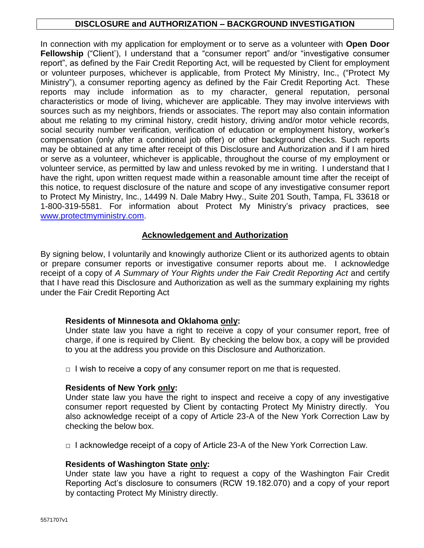# **DISCLOSURE and AUTHORIZATION – BACKGROUND INVESTIGATION**

In connection with my application for employment or to serve as a volunteer with **Open Door Fellowship** ("Client"), I understand that a "consumer report" and/or "investigative consumer report", as defined by the Fair Credit Reporting Act, will be requested by Client for employment or volunteer purposes, whichever is applicable, from Protect My Ministry, Inc., ("Protect My Ministry"), a consumer reporting agency as defined by the Fair Credit Reporting Act. These reports may include information as to my character, general reputation, personal characteristics or mode of living, whichever are applicable. They may involve interviews with sources such as my neighbors, friends or associates. The report may also contain information about me relating to my criminal history, credit history, driving and/or motor vehicle records, social security number verification, verification of education or employment history, worker's compensation (only after a conditional job offer) or other background checks. Such reports may be obtained at any time after receipt of this Disclosure and Authorization and if I am hired or serve as a volunteer, whichever is applicable, throughout the course of my employment or volunteer service, as permitted by law and unless revoked by me in writing. I understand that I have the right, upon written request made within a reasonable amount time after the receipt of this notice, to request disclosure of the nature and scope of any investigative consumer report to Protect My Ministry, Inc., 14499 N. Dale Mabry Hwy., Suite 201 South, Tampa, FL 33618 or 1-800-319-5581. For information about Protect My Ministry's privacy practices, see [www.protectmyministry.com.](http://www.priorityresearch.com/)

# **Acknowledgement and Authorization**

By signing below, I voluntarily and knowingly authorize Client or its authorized agents to obtain or prepare consumer reports or investigative consumer reports about me. I acknowledge receipt of a copy of *A Summary of Your Rights under the Fair Credit Reporting Act* and certify that I have read this Disclosure and Authorization as well as the summary explaining my rights under the Fair Credit Reporting Act

### **Residents of Minnesota and Oklahoma only:**

Under state law you have a right to receive a copy of your consumer report, free of charge, if one is required by Client. By checking the below box, a copy will be provided to you at the address you provide on this Disclosure and Authorization.

 $\Box$  I wish to receive a copy of any consumer report on me that is requested.

# **Residents of New York only:**

Under state law you have the right to inspect and receive a copy of any investigative consumer report requested by Client by contacting Protect My Ministry directly. You also acknowledge receipt of a copy of Article 23-A of the New York Correction Law by checking the below box.

 $\Box$  I acknowledge receipt of a copy of Article 23-A of the New York Correction Law.

### **Residents of Washington State only:**

Under state law you have a right to request a copy of the Washington Fair Credit Reporting Act's disclosure to consumers (RCW 19.182.070) and a copy of your report by contacting Protect My Ministry directly.